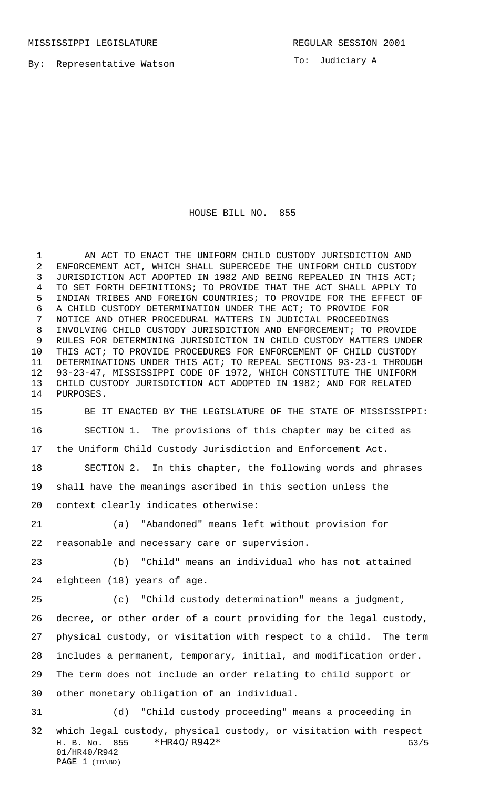To: Judiciary A

## HOUSE BILL NO. 855

 AN ACT TO ENACT THE UNIFORM CHILD CUSTODY JURISDICTION AND ENFORCEMENT ACT, WHICH SHALL SUPERCEDE THE UNIFORM CHILD CUSTODY JURISDICTION ACT ADOPTED IN 1982 AND BEING REPEALED IN THIS ACT; TO SET FORTH DEFINITIONS; TO PROVIDE THAT THE ACT SHALL APPLY TO INDIAN TRIBES AND FOREIGN COUNTRIES; TO PROVIDE FOR THE EFFECT OF A CHILD CUSTODY DETERMINATION UNDER THE ACT; TO PROVIDE FOR NOTICE AND OTHER PROCEDURAL MATTERS IN JUDICIAL PROCEEDINGS INVOLVING CHILD CUSTODY JURISDICTION AND ENFORCEMENT; TO PROVIDE RULES FOR DETERMINING JURISDICTION IN CHILD CUSTODY MATTERS UNDER THIS ACT; TO PROVIDE PROCEDURES FOR ENFORCEMENT OF CHILD CUSTODY DETERMINATIONS UNDER THIS ACT; TO REPEAL SECTIONS 93-23-1 THROUGH 93-23-47, MISSISSIPPI CODE OF 1972, WHICH CONSTITUTE THE UNIFORM CHILD CUSTODY JURISDICTION ACT ADOPTED IN 1982; AND FOR RELATED PURPOSES.

 BE IT ENACTED BY THE LEGISLATURE OF THE STATE OF MISSISSIPPI: SECTION 1. The provisions of this chapter may be cited as the Uniform Child Custody Jurisdiction and Enforcement Act. SECTION 2. In this chapter, the following words and phrases

 shall have the meanings ascribed in this section unless the context clearly indicates otherwise:

 (a) "Abandoned" means left without provision for reasonable and necessary care or supervision.

 (b) "Child" means an individual who has not attained eighteen (18) years of age.

 (c) "Child custody determination" means a judgment, decree, or other order of a court providing for the legal custody, physical custody, or visitation with respect to a child. The term includes a permanent, temporary, initial, and modification order. The term does not include an order relating to child support or other monetary obligation of an individual.

H. B. No. 855 \* HR40/R942\* G3/5 01/HR40/R942 PAGE 1 (TB\BD) (d) "Child custody proceeding" means a proceeding in which legal custody, physical custody, or visitation with respect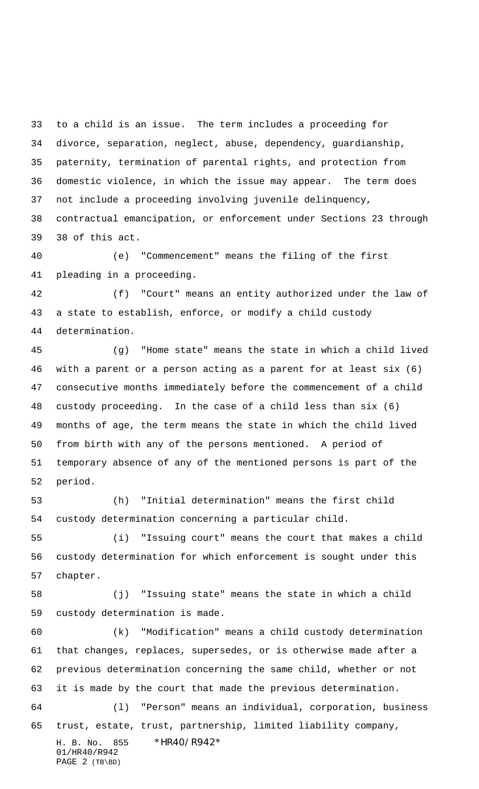to a child is an issue. The term includes a proceeding for divorce, separation, neglect, abuse, dependency, guardianship, paternity, termination of parental rights, and protection from domestic violence, in which the issue may appear. The term does not include a proceeding involving juvenile delinquency, contractual emancipation, or enforcement under Sections 23 through 38 of this act.

 (e) "Commencement" means the filing of the first pleading in a proceeding.

 (f) "Court" means an entity authorized under the law of a state to establish, enforce, or modify a child custody determination.

 (g) "Home state" means the state in which a child lived with a parent or a person acting as a parent for at least six (6) consecutive months immediately before the commencement of a child custody proceeding. In the case of a child less than six (6) months of age, the term means the state in which the child lived from birth with any of the persons mentioned. A period of temporary absence of any of the mentioned persons is part of the period.

 (h) "Initial determination" means the first child custody determination concerning a particular child.

 (i) "Issuing court" means the court that makes a child custody determination for which enforcement is sought under this chapter.

 (j) "Issuing state" means the state in which a child custody determination is made.

 (k) "Modification" means a child custody determination that changes, replaces, supersedes, or is otherwise made after a previous determination concerning the same child, whether or not it is made by the court that made the previous determination.

H. B. No. 855 \*HR40/R942\* (l) "Person" means an individual, corporation, business trust, estate, trust, partnership, limited liability company,

01/HR40/R942 PAGE 2 (TB\BD)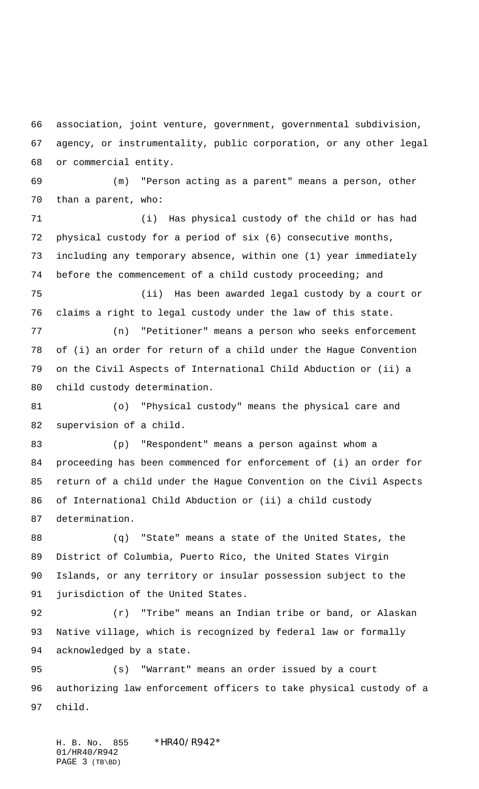association, joint venture, government, governmental subdivision, agency, or instrumentality, public corporation, or any other legal or commercial entity.

 (m) "Person acting as a parent" means a person, other than a parent, who:

 (i) Has physical custody of the child or has had physical custody for a period of six (6) consecutive months, including any temporary absence, within one (1) year immediately before the commencement of a child custody proceeding; and

 (ii) Has been awarded legal custody by a court or claims a right to legal custody under the law of this state.

 (n) "Petitioner" means a person who seeks enforcement of (i) an order for return of a child under the Hague Convention on the Civil Aspects of International Child Abduction or (ii) a child custody determination.

 (o) "Physical custody" means the physical care and supervision of a child.

 (p) "Respondent" means a person against whom a proceeding has been commenced for enforcement of (i) an order for return of a child under the Hague Convention on the Civil Aspects of International Child Abduction or (ii) a child custody determination.

 (q) "State" means a state of the United States, the District of Columbia, Puerto Rico, the United States Virgin Islands, or any territory or insular possession subject to the jurisdiction of the United States.

 (r) "Tribe" means an Indian tribe or band, or Alaskan Native village, which is recognized by federal law or formally acknowledged by a state.

 (s) "Warrant" means an order issued by a court authorizing law enforcement officers to take physical custody of a child.

H. B. No. 855 \* HR40/R942\* 01/HR40/R942 PAGE 3 (TB\BD)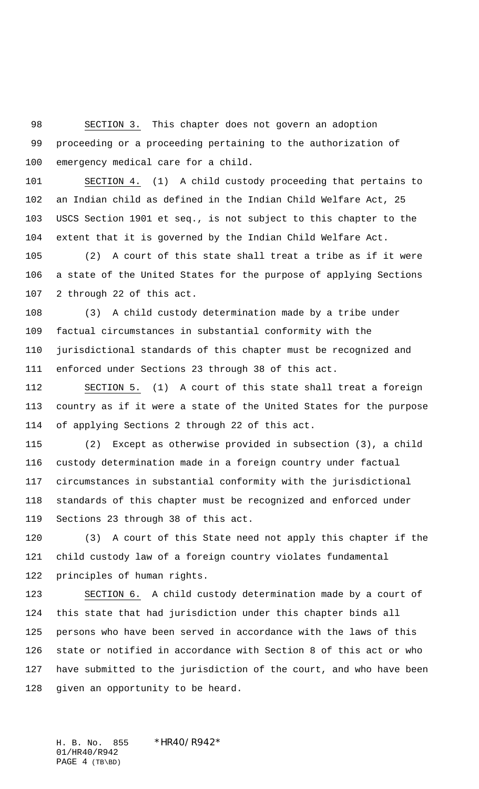SECTION 3. This chapter does not govern an adoption proceeding or a proceeding pertaining to the authorization of emergency medical care for a child.

 SECTION 4. (1) A child custody proceeding that pertains to an Indian child as defined in the Indian Child Welfare Act, 25 USCS Section 1901 et seq., is not subject to this chapter to the extent that it is governed by the Indian Child Welfare Act.

 (2) A court of this state shall treat a tribe as if it were a state of the United States for the purpose of applying Sections 2 through 22 of this act.

 (3) A child custody determination made by a tribe under factual circumstances in substantial conformity with the jurisdictional standards of this chapter must be recognized and enforced under Sections 23 through 38 of this act.

 SECTION 5. (1) A court of this state shall treat a foreign country as if it were a state of the United States for the purpose of applying Sections 2 through 22 of this act.

 (2) Except as otherwise provided in subsection (3), a child custody determination made in a foreign country under factual circumstances in substantial conformity with the jurisdictional standards of this chapter must be recognized and enforced under Sections 23 through 38 of this act.

 (3) A court of this State need not apply this chapter if the child custody law of a foreign country violates fundamental principles of human rights.

 SECTION 6. A child custody determination made by a court of this state that had jurisdiction under this chapter binds all persons who have been served in accordance with the laws of this state or notified in accordance with Section 8 of this act or who have submitted to the jurisdiction of the court, and who have been given an opportunity to be heard.

H. B. No. 855 \*HR40/R942\* 01/HR40/R942 PAGE 4 (TB\BD)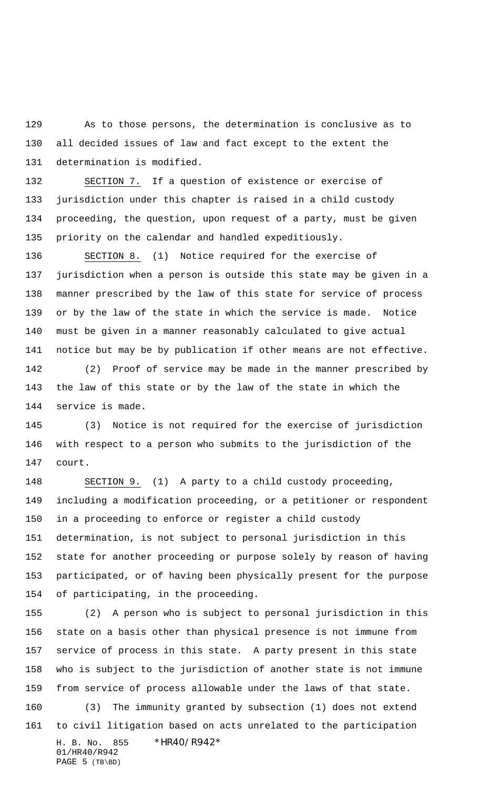As to those persons, the determination is conclusive as to all decided issues of law and fact except to the extent the determination is modified.

 SECTION 7. If a question of existence or exercise of jurisdiction under this chapter is raised in a child custody proceeding, the question, upon request of a party, must be given priority on the calendar and handled expeditiously.

 SECTION 8. (1) Notice required for the exercise of jurisdiction when a person is outside this state may be given in a manner prescribed by the law of this state for service of process or by the law of the state in which the service is made. Notice must be given in a manner reasonably calculated to give actual notice but may be by publication if other means are not effective. (2) Proof of service may be made in the manner prescribed by

 the law of this state or by the law of the state in which the service is made.

 (3) Notice is not required for the exercise of jurisdiction with respect to a person who submits to the jurisdiction of the court.

 SECTION 9. (1) A party to a child custody proceeding, including a modification proceeding, or a petitioner or respondent in a proceeding to enforce or register a child custody determination, is not subject to personal jurisdiction in this state for another proceeding or purpose solely by reason of having participated, or of having been physically present for the purpose of participating, in the proceeding.

H. B. No. 855 \*HR40/R942\* 01/HR40/R942 PAGE 5 (TB\BD) (2) A person who is subject to personal jurisdiction in this state on a basis other than physical presence is not immune from service of process in this state. A party present in this state who is subject to the jurisdiction of another state is not immune from service of process allowable under the laws of that state. (3) The immunity granted by subsection (1) does not extend to civil litigation based on acts unrelated to the participation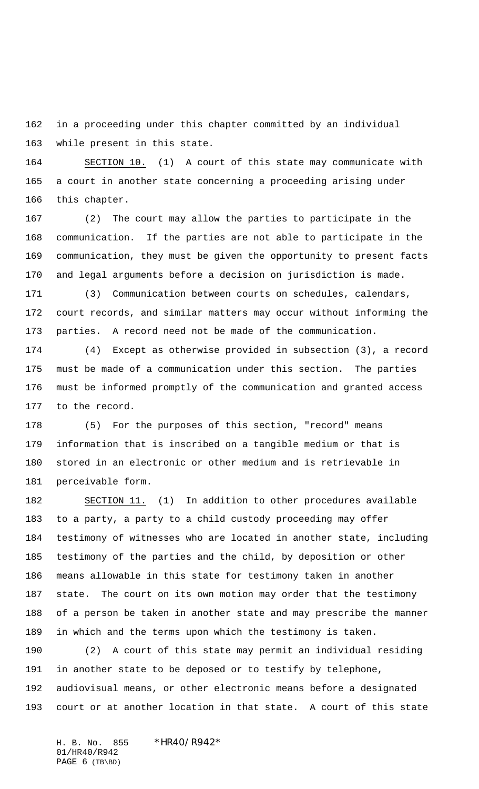in a proceeding under this chapter committed by an individual while present in this state.

 SECTION 10. (1) A court of this state may communicate with a court in another state concerning a proceeding arising under this chapter.

 (2) The court may allow the parties to participate in the communication. If the parties are not able to participate in the communication, they must be given the opportunity to present facts and legal arguments before a decision on jurisdiction is made.

 (3) Communication between courts on schedules, calendars, court records, and similar matters may occur without informing the parties. A record need not be made of the communication.

 (4) Except as otherwise provided in subsection (3), a record must be made of a communication under this section. The parties must be informed promptly of the communication and granted access to the record.

 (5) For the purposes of this section, "record" means information that is inscribed on a tangible medium or that is stored in an electronic or other medium and is retrievable in perceivable form.

 SECTION 11. (1) In addition to other procedures available to a party, a party to a child custody proceeding may offer testimony of witnesses who are located in another state, including testimony of the parties and the child, by deposition or other means allowable in this state for testimony taken in another state. The court on its own motion may order that the testimony of a person be taken in another state and may prescribe the manner in which and the terms upon which the testimony is taken.

 (2) A court of this state may permit an individual residing in another state to be deposed or to testify by telephone, audiovisual means, or other electronic means before a designated court or at another location in that state. A court of this state

H. B. No. 855 \*HR40/R942\* 01/HR40/R942 PAGE (TB\BD)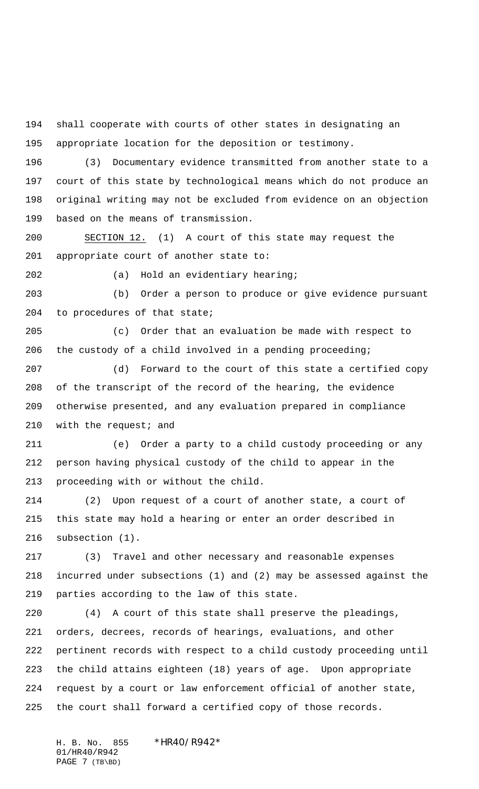shall cooperate with courts of other states in designating an appropriate location for the deposition or testimony.

 (3) Documentary evidence transmitted from another state to a court of this state by technological means which do not produce an original writing may not be excluded from evidence on an objection based on the means of transmission.

 SECTION 12. (1) A court of this state may request the appropriate court of another state to:

(a) Hold an evidentiary hearing;

 (b) Order a person to produce or give evidence pursuant to procedures of that state;

 (c) Order that an evaluation be made with respect to the custody of a child involved in a pending proceeding;

 (d) Forward to the court of this state a certified copy of the transcript of the record of the hearing, the evidence otherwise presented, and any evaluation prepared in compliance 210 with the request; and

 (e) Order a party to a child custody proceeding or any person having physical custody of the child to appear in the proceeding with or without the child.

 (2) Upon request of a court of another state, a court of this state may hold a hearing or enter an order described in subsection (1).

 (3) Travel and other necessary and reasonable expenses incurred under subsections (1) and (2) may be assessed against the parties according to the law of this state.

 (4) A court of this state shall preserve the pleadings, orders, decrees, records of hearings, evaluations, and other pertinent records with respect to a child custody proceeding until the child attains eighteen (18) years of age. Upon appropriate request by a court or law enforcement official of another state, the court shall forward a certified copy of those records.

H. B. No. 855 \* HR40/R942\* 01/HR40/R942 PAGE 7 (TB\BD)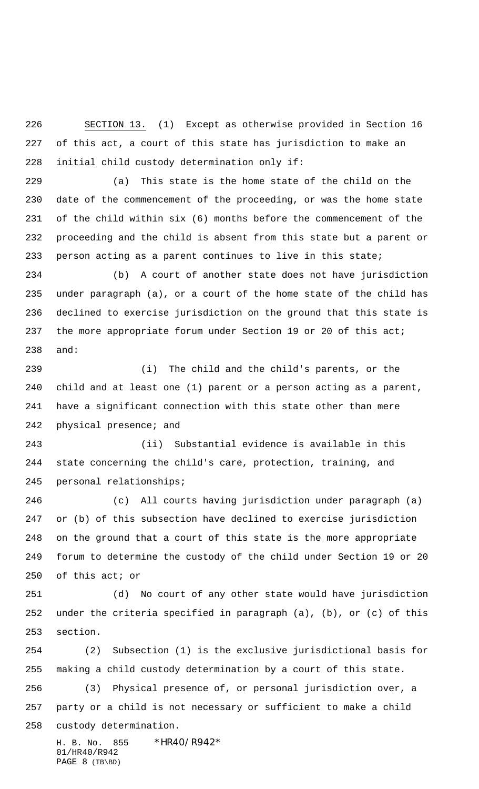SECTION 13. (1) Except as otherwise provided in Section 16 of this act, a court of this state has jurisdiction to make an initial child custody determination only if:

 (a) This state is the home state of the child on the date of the commencement of the proceeding, or was the home state of the child within six (6) months before the commencement of the proceeding and the child is absent from this state but a parent or person acting as a parent continues to live in this state;

 (b) A court of another state does not have jurisdiction under paragraph (a), or a court of the home state of the child has declined to exercise jurisdiction on the ground that this state is 237 the more appropriate forum under Section 19 or 20 of this act; and:

 (i) The child and the child's parents, or the child and at least one (1) parent or a person acting as a parent, have a significant connection with this state other than mere physical presence; and

 (ii) Substantial evidence is available in this state concerning the child's care, protection, training, and personal relationships;

 (c) All courts having jurisdiction under paragraph (a) or (b) of this subsection have declined to exercise jurisdiction on the ground that a court of this state is the more appropriate forum to determine the custody of the child under Section 19 or 20 of this act; or

 (d) No court of any other state would have jurisdiction under the criteria specified in paragraph (a), (b), or (c) of this section.

 (2) Subsection (1) is the exclusive jurisdictional basis for making a child custody determination by a court of this state. (3) Physical presence of, or personal jurisdiction over, a party or a child is not necessary or sufficient to make a child custody determination.

H. B. No. 855 \*HR40/R942\* 01/HR40/R942 PAGE 8 (TB\BD)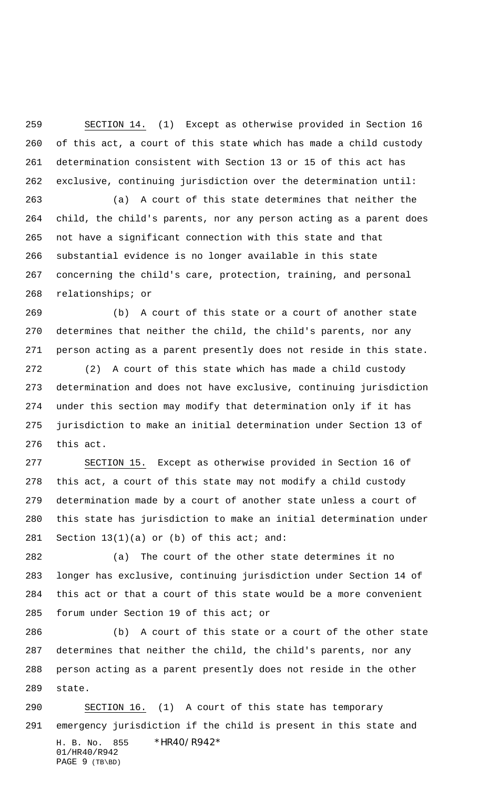SECTION 14. (1) Except as otherwise provided in Section 16 of this act, a court of this state which has made a child custody determination consistent with Section 13 or 15 of this act has exclusive, continuing jurisdiction over the determination until:

 (a) A court of this state determines that neither the child, the child's parents, nor any person acting as a parent does not have a significant connection with this state and that substantial evidence is no longer available in this state concerning the child's care, protection, training, and personal relationships; or

 (b) A court of this state or a court of another state determines that neither the child, the child's parents, nor any person acting as a parent presently does not reside in this state.

 (2) A court of this state which has made a child custody determination and does not have exclusive, continuing jurisdiction under this section may modify that determination only if it has jurisdiction to make an initial determination under Section 13 of this act.

 SECTION 15. Except as otherwise provided in Section 16 of this act, a court of this state may not modify a child custody determination made by a court of another state unless a court of this state has jurisdiction to make an initial determination under 281 Section  $13(1)(a)$  or (b) of this act; and:

 (a) The court of the other state determines it no longer has exclusive, continuing jurisdiction under Section 14 of this act or that a court of this state would be a more convenient forum under Section 19 of this act; or

 (b) A court of this state or a court of the other state determines that neither the child, the child's parents, nor any person acting as a parent presently does not reside in the other state.

H. B. No. 855 \*HR40/R942\* 01/HR40/R942 PAGE 9 (TB\BD) SECTION 16. (1) A court of this state has temporary emergency jurisdiction if the child is present in this state and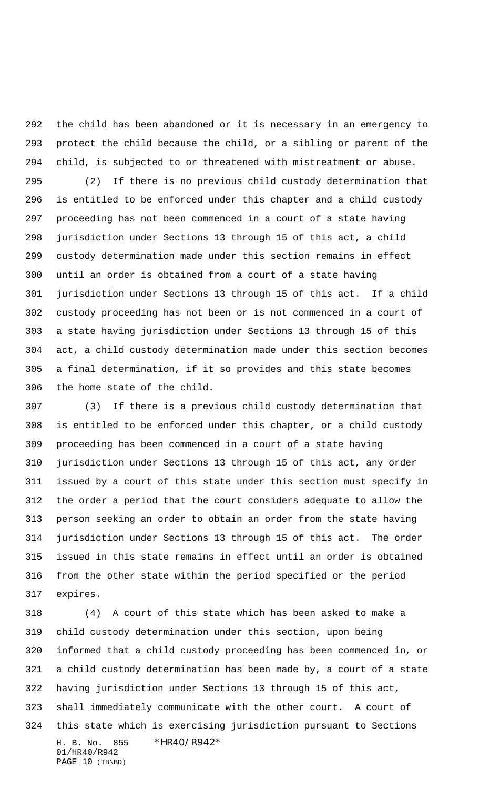the child has been abandoned or it is necessary in an emergency to protect the child because the child, or a sibling or parent of the child, is subjected to or threatened with mistreatment or abuse.

 (2) If there is no previous child custody determination that is entitled to be enforced under this chapter and a child custody proceeding has not been commenced in a court of a state having jurisdiction under Sections 13 through 15 of this act, a child custody determination made under this section remains in effect until an order is obtained from a court of a state having jurisdiction under Sections 13 through 15 of this act. If a child custody proceeding has not been or is not commenced in a court of a state having jurisdiction under Sections 13 through 15 of this act, a child custody determination made under this section becomes a final determination, if it so provides and this state becomes the home state of the child.

 (3) If there is a previous child custody determination that is entitled to be enforced under this chapter, or a child custody proceeding has been commenced in a court of a state having jurisdiction under Sections 13 through 15 of this act, any order issued by a court of this state under this section must specify in the order a period that the court considers adequate to allow the person seeking an order to obtain an order from the state having jurisdiction under Sections 13 through 15 of this act. The order issued in this state remains in effect until an order is obtained from the other state within the period specified or the period expires.

H. B. No. 855 \* HR40/R942\* 01/HR40/R942 (4) A court of this state which has been asked to make a child custody determination under this section, upon being informed that a child custody proceeding has been commenced in, or a child custody determination has been made by, a court of a state having jurisdiction under Sections 13 through 15 of this act, shall immediately communicate with the other court. A court of this state which is exercising jurisdiction pursuant to Sections

PAGE 10 (TB\BD)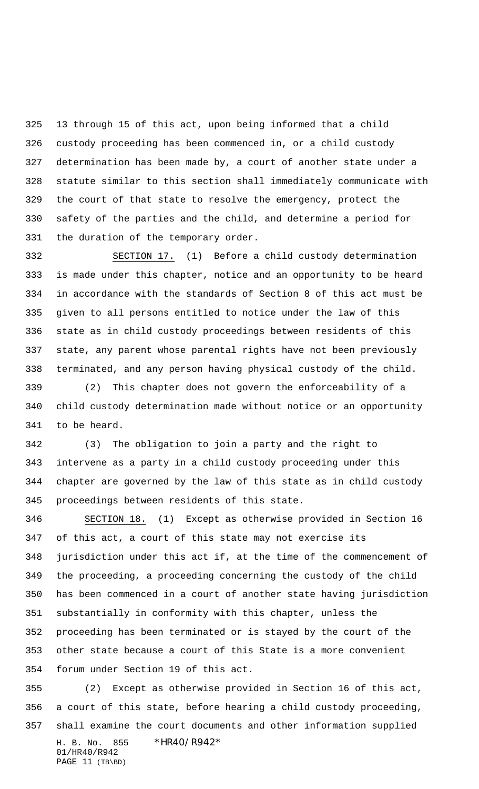13 through 15 of this act, upon being informed that a child custody proceeding has been commenced in, or a child custody determination has been made by, a court of another state under a statute similar to this section shall immediately communicate with the court of that state to resolve the emergency, protect the safety of the parties and the child, and determine a period for the duration of the temporary order.

 SECTION 17. (1) Before a child custody determination is made under this chapter, notice and an opportunity to be heard in accordance with the standards of Section 8 of this act must be given to all persons entitled to notice under the law of this state as in child custody proceedings between residents of this state, any parent whose parental rights have not been previously terminated, and any person having physical custody of the child.

 (2) This chapter does not govern the enforceability of a child custody determination made without notice or an opportunity to be heard.

 (3) The obligation to join a party and the right to intervene as a party in a child custody proceeding under this chapter are governed by the law of this state as in child custody proceedings between residents of this state.

 SECTION 18. (1) Except as otherwise provided in Section 16 of this act, a court of this state may not exercise its jurisdiction under this act if, at the time of the commencement of the proceeding, a proceeding concerning the custody of the child has been commenced in a court of another state having jurisdiction substantially in conformity with this chapter, unless the proceeding has been terminated or is stayed by the court of the other state because a court of this State is a more convenient forum under Section 19 of this act.

H. B. No. 855 \*HR40/R942\* 01/HR40/R942 (2) Except as otherwise provided in Section 16 of this act, a court of this state, before hearing a child custody proceeding, shall examine the court documents and other information supplied

PAGE 11 (TB\BD)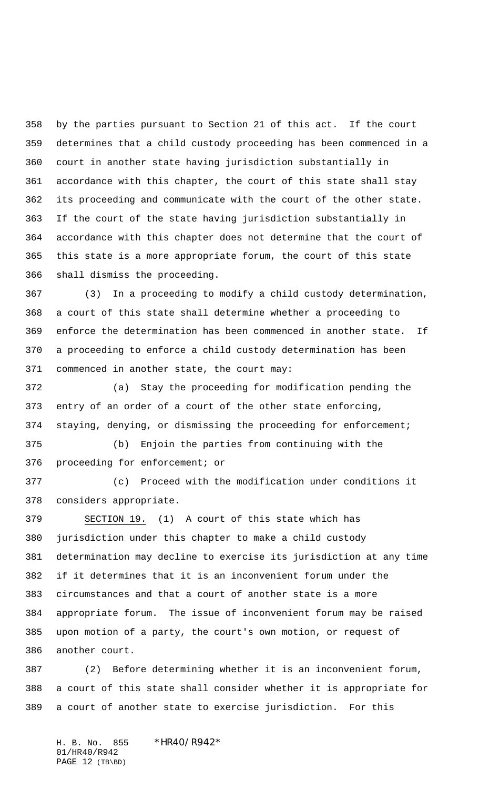by the parties pursuant to Section 21 of this act. If the court determines that a child custody proceeding has been commenced in a court in another state having jurisdiction substantially in accordance with this chapter, the court of this state shall stay its proceeding and communicate with the court of the other state. If the court of the state having jurisdiction substantially in accordance with this chapter does not determine that the court of this state is a more appropriate forum, the court of this state shall dismiss the proceeding.

 (3) In a proceeding to modify a child custody determination, a court of this state shall determine whether a proceeding to enforce the determination has been commenced in another state. If a proceeding to enforce a child custody determination has been commenced in another state, the court may:

 (a) Stay the proceeding for modification pending the entry of an order of a court of the other state enforcing, staying, denying, or dismissing the proceeding for enforcement;

 (b) Enjoin the parties from continuing with the proceeding for enforcement; or

 (c) Proceed with the modification under conditions it considers appropriate.

 SECTION 19. (1) A court of this state which has jurisdiction under this chapter to make a child custody determination may decline to exercise its jurisdiction at any time if it determines that it is an inconvenient forum under the circumstances and that a court of another state is a more appropriate forum. The issue of inconvenient forum may be raised upon motion of a party, the court's own motion, or request of another court.

 (2) Before determining whether it is an inconvenient forum, a court of this state shall consider whether it is appropriate for a court of another state to exercise jurisdiction. For this

H. B. No. 855 \*HR40/R942\* 01/HR40/R942 PAGE 12 (TB\BD)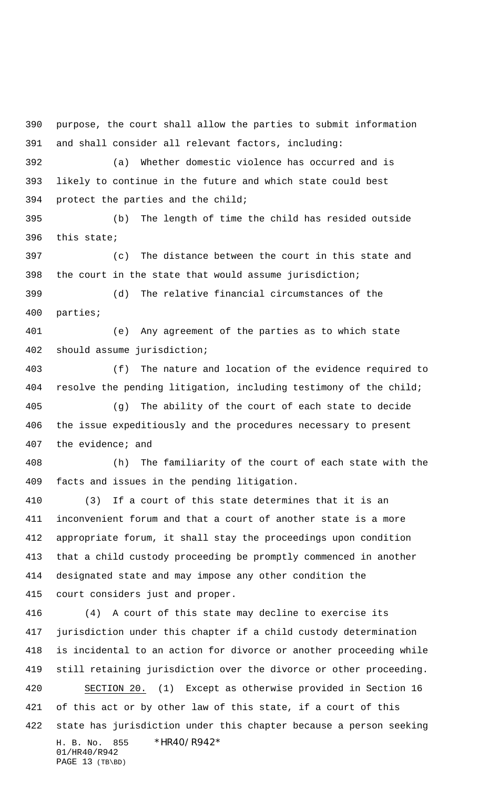H. B. No. 855 \*HR40/R942\* 01/HR40/R942 PAGE 13 (TB\BD) purpose, the court shall allow the parties to submit information and shall consider all relevant factors, including: (a) Whether domestic violence has occurred and is likely to continue in the future and which state could best protect the parties and the child; (b) The length of time the child has resided outside this state; (c) The distance between the court in this state and the court in the state that would assume jurisdiction; (d) The relative financial circumstances of the parties; (e) Any agreement of the parties as to which state should assume jurisdiction; (f) The nature and location of the evidence required to resolve the pending litigation, including testimony of the child; (g) The ability of the court of each state to decide the issue expeditiously and the procedures necessary to present the evidence; and (h) The familiarity of the court of each state with the facts and issues in the pending litigation. (3) If a court of this state determines that it is an inconvenient forum and that a court of another state is a more appropriate forum, it shall stay the proceedings upon condition that a child custody proceeding be promptly commenced in another designated state and may impose any other condition the court considers just and proper. (4) A court of this state may decline to exercise its jurisdiction under this chapter if a child custody determination is incidental to an action for divorce or another proceeding while still retaining jurisdiction over the divorce or other proceeding. SECTION 20. (1) Except as otherwise provided in Section 16 of this act or by other law of this state, if a court of this state has jurisdiction under this chapter because a person seeking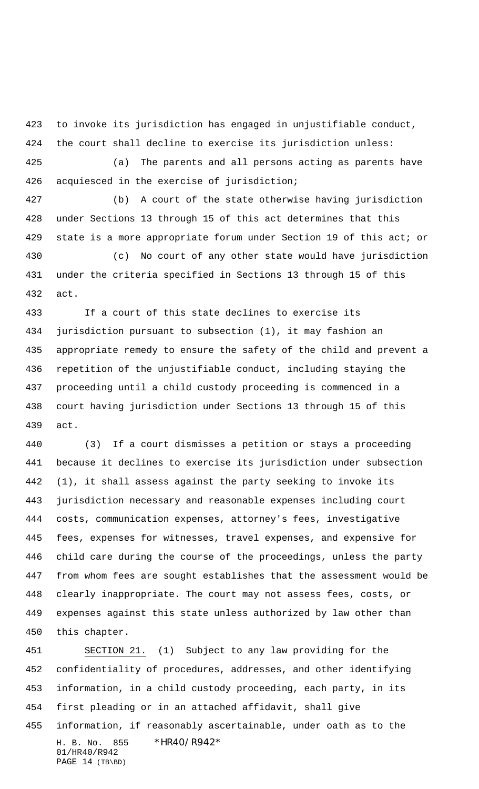to invoke its jurisdiction has engaged in unjustifiable conduct, the court shall decline to exercise its jurisdiction unless:

 (a) The parents and all persons acting as parents have acquiesced in the exercise of jurisdiction;

 (b) A court of the state otherwise having jurisdiction under Sections 13 through 15 of this act determines that this state is a more appropriate forum under Section 19 of this act; or

 (c) No court of any other state would have jurisdiction under the criteria specified in Sections 13 through 15 of this act.

 If a court of this state declines to exercise its jurisdiction pursuant to subsection (1), it may fashion an appropriate remedy to ensure the safety of the child and prevent a repetition of the unjustifiable conduct, including staying the proceeding until a child custody proceeding is commenced in a court having jurisdiction under Sections 13 through 15 of this act.

 (3) If a court dismisses a petition or stays a proceeding because it declines to exercise its jurisdiction under subsection (1), it shall assess against the party seeking to invoke its jurisdiction necessary and reasonable expenses including court costs, communication expenses, attorney's fees, investigative fees, expenses for witnesses, travel expenses, and expensive for child care during the course of the proceedings, unless the party from whom fees are sought establishes that the assessment would be clearly inappropriate. The court may not assess fees, costs, or expenses against this state unless authorized by law other than this chapter.

H. B. No. 855 \*HR40/R942\* 01/HR40/R942 PAGE 14 (TB\BD) SECTION 21. (1) Subject to any law providing for the confidentiality of procedures, addresses, and other identifying information, in a child custody proceeding, each party, in its first pleading or in an attached affidavit, shall give information, if reasonably ascertainable, under oath as to the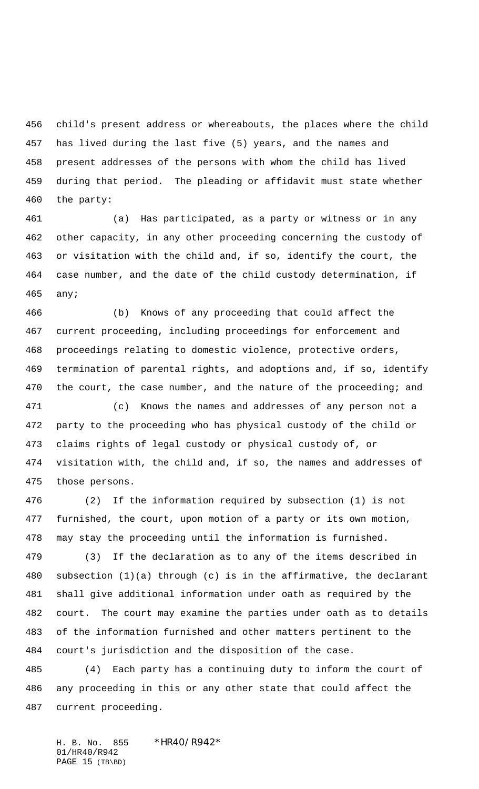child's present address or whereabouts, the places where the child has lived during the last five (5) years, and the names and present addresses of the persons with whom the child has lived during that period. The pleading or affidavit must state whether the party:

 (a) Has participated, as a party or witness or in any other capacity, in any other proceeding concerning the custody of or visitation with the child and, if so, identify the court, the case number, and the date of the child custody determination, if any;

 (b) Knows of any proceeding that could affect the current proceeding, including proceedings for enforcement and proceedings relating to domestic violence, protective orders, termination of parental rights, and adoptions and, if so, identify 470 the court, the case number, and the nature of the proceeding; and

 (c) Knows the names and addresses of any person not a party to the proceeding who has physical custody of the child or claims rights of legal custody or physical custody of, or visitation with, the child and, if so, the names and addresses of those persons.

 (2) If the information required by subsection (1) is not furnished, the court, upon motion of a party or its own motion, may stay the proceeding until the information is furnished.

 (3) If the declaration as to any of the items described in subsection (1)(a) through (c) is in the affirmative, the declarant shall give additional information under oath as required by the court. The court may examine the parties under oath as to details of the information furnished and other matters pertinent to the court's jurisdiction and the disposition of the case.

 (4) Each party has a continuing duty to inform the court of any proceeding in this or any other state that could affect the current proceeding.

H. B. No. 855 \* HR40/R942\* 01/HR40/R942 PAGE 15 (TB\BD)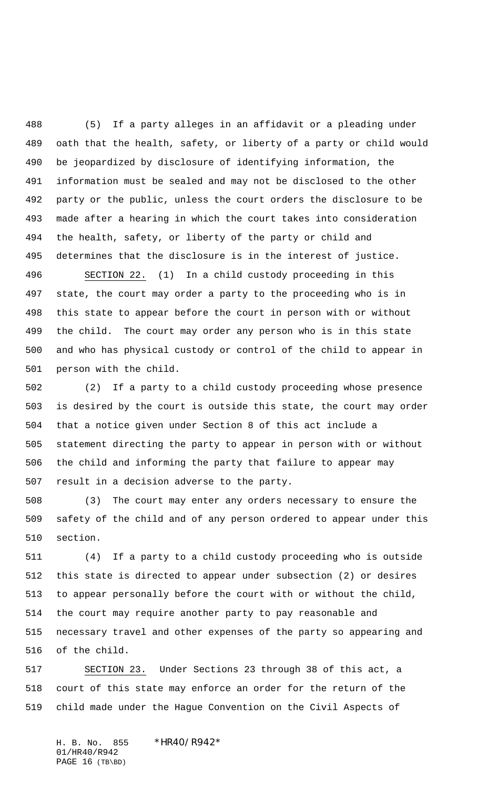(5) If a party alleges in an affidavit or a pleading under oath that the health, safety, or liberty of a party or child would be jeopardized by disclosure of identifying information, the information must be sealed and may not be disclosed to the other party or the public, unless the court orders the disclosure to be made after a hearing in which the court takes into consideration the health, safety, or liberty of the party or child and determines that the disclosure is in the interest of justice.

 SECTION 22. (1) In a child custody proceeding in this state, the court may order a party to the proceeding who is in this state to appear before the court in person with or without the child. The court may order any person who is in this state and who has physical custody or control of the child to appear in person with the child.

 (2) If a party to a child custody proceeding whose presence is desired by the court is outside this state, the court may order that a notice given under Section 8 of this act include a statement directing the party to appear in person with or without the child and informing the party that failure to appear may result in a decision adverse to the party.

 (3) The court may enter any orders necessary to ensure the safety of the child and of any person ordered to appear under this section.

 (4) If a party to a child custody proceeding who is outside this state is directed to appear under subsection (2) or desires to appear personally before the court with or without the child, the court may require another party to pay reasonable and necessary travel and other expenses of the party so appearing and of the child.

 SECTION 23. Under Sections 23 through 38 of this act, a court of this state may enforce an order for the return of the child made under the Hague Convention on the Civil Aspects of

H. B. No. 855 \* HR40/R942\* 01/HR40/R942 PAGE 16 (TB\BD)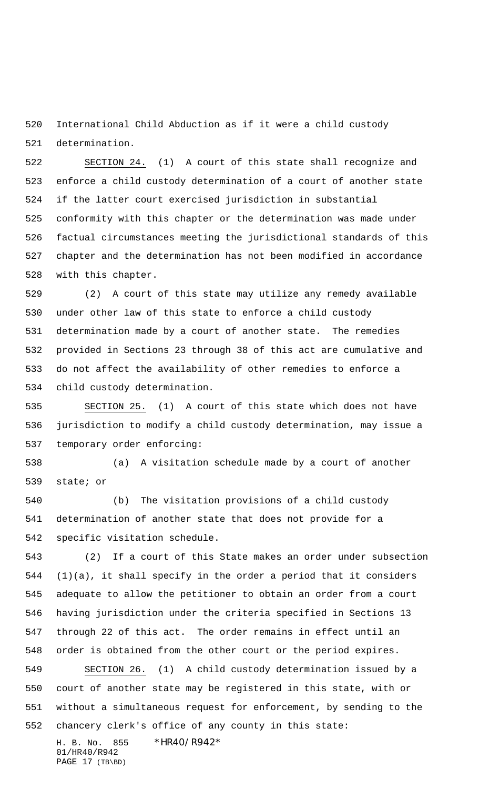International Child Abduction as if it were a child custody determination.

 SECTION 24. (1) A court of this state shall recognize and enforce a child custody determination of a court of another state if the latter court exercised jurisdiction in substantial conformity with this chapter or the determination was made under factual circumstances meeting the jurisdictional standards of this chapter and the determination has not been modified in accordance with this chapter.

 (2) A court of this state may utilize any remedy available under other law of this state to enforce a child custody determination made by a court of another state. The remedies provided in Sections 23 through 38 of this act are cumulative and do not affect the availability of other remedies to enforce a child custody determination.

 SECTION 25. (1) A court of this state which does not have jurisdiction to modify a child custody determination, may issue a temporary order enforcing:

 (a) A visitation schedule made by a court of another state; or

 (b) The visitation provisions of a child custody determination of another state that does not provide for a specific visitation schedule.

 (2) If a court of this State makes an order under subsection (1)(a), it shall specify in the order a period that it considers adequate to allow the petitioner to obtain an order from a court having jurisdiction under the criteria specified in Sections 13 through 22 of this act. The order remains in effect until an order is obtained from the other court or the period expires. SECTION 26. (1) A child custody determination issued by a court of another state may be registered in this state, with or without a simultaneous request for enforcement, by sending to the chancery clerk's office of any county in this state:

H. B. No. 855 \*HR40/R942\* 01/HR40/R942 PAGE 17 (TB\BD)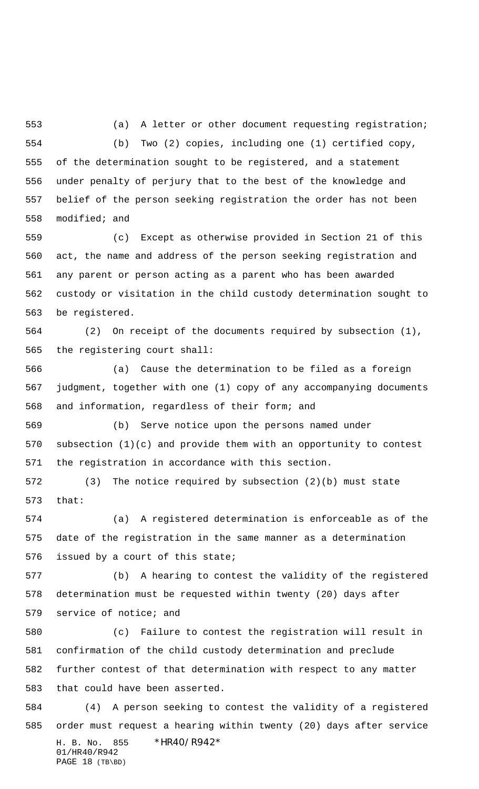(a) A letter or other document requesting registration; (b) Two (2) copies, including one (1) certified copy, of the determination sought to be registered, and a statement under penalty of perjury that to the best of the knowledge and belief of the person seeking registration the order has not been modified; and

 (c) Except as otherwise provided in Section 21 of this act, the name and address of the person seeking registration and any parent or person acting as a parent who has been awarded custody or visitation in the child custody determination sought to be registered.

 (2) On receipt of the documents required by subsection (1), the registering court shall:

 (a) Cause the determination to be filed as a foreign judgment, together with one (1) copy of any accompanying documents and information, regardless of their form; and

 (b) Serve notice upon the persons named under subsection (1)(c) and provide them with an opportunity to contest the registration in accordance with this section.

 (3) The notice required by subsection (2)(b) must state that:

 (a) A registered determination is enforceable as of the date of the registration in the same manner as a determination issued by a court of this state;

 (b) A hearing to contest the validity of the registered determination must be requested within twenty (20) days after service of notice; and

 (c) Failure to contest the registration will result in confirmation of the child custody determination and preclude further contest of that determination with respect to any matter that could have been asserted.

H. B. No. 855 \*HR40/R942\* 01/HR40/R942 PAGE 18 (TB\BD) (4) A person seeking to contest the validity of a registered order must request a hearing within twenty (20) days after service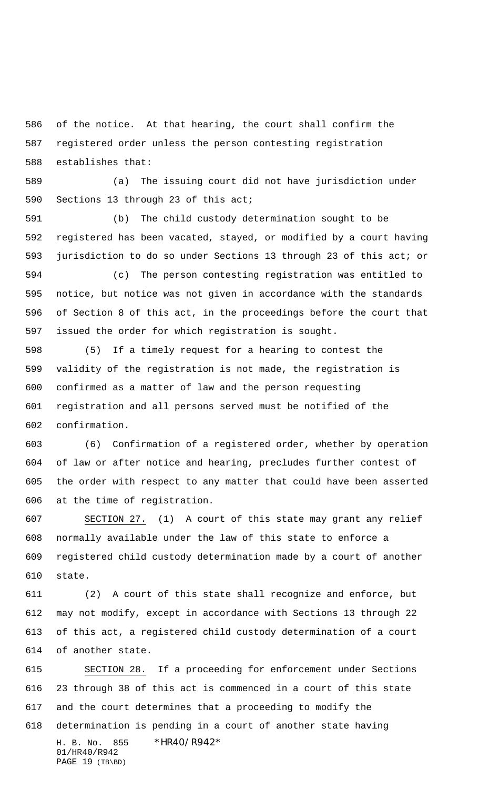of the notice. At that hearing, the court shall confirm the registered order unless the person contesting registration establishes that:

 (a) The issuing court did not have jurisdiction under Sections 13 through 23 of this act;

 (b) The child custody determination sought to be registered has been vacated, stayed, or modified by a court having jurisdiction to do so under Sections 13 through 23 of this act; or

 (c) The person contesting registration was entitled to notice, but notice was not given in accordance with the standards of Section 8 of this act, in the proceedings before the court that issued the order for which registration is sought.

 (5) If a timely request for a hearing to contest the validity of the registration is not made, the registration is confirmed as a matter of law and the person requesting registration and all persons served must be notified of the confirmation.

 (6) Confirmation of a registered order, whether by operation of law or after notice and hearing, precludes further contest of the order with respect to any matter that could have been asserted at the time of registration.

 SECTION 27. (1) A court of this state may grant any relief normally available under the law of this state to enforce a registered child custody determination made by a court of another state.

 (2) A court of this state shall recognize and enforce, but may not modify, except in accordance with Sections 13 through 22 of this act, a registered child custody determination of a court of another state.

H. B. No. 855 \*HR40/R942\* 01/HR40/R942 PAGE 19 (TB\BD) SECTION 28. If a proceeding for enforcement under Sections 23 through 38 of this act is commenced in a court of this state and the court determines that a proceeding to modify the determination is pending in a court of another state having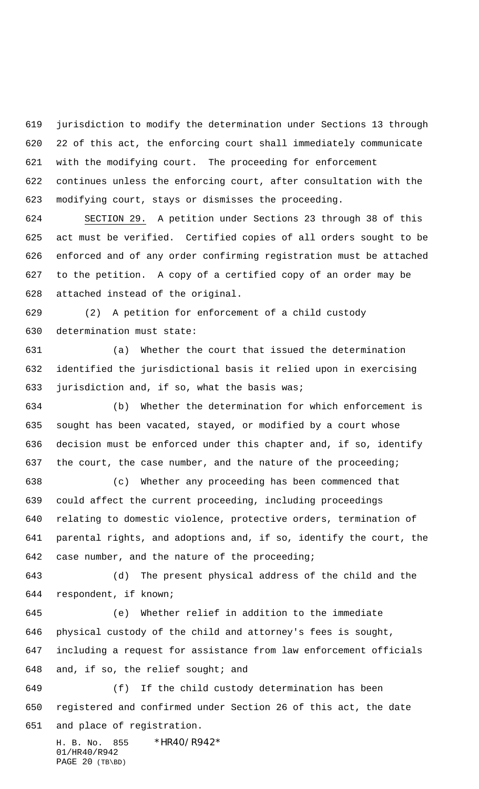jurisdiction to modify the determination under Sections 13 through 22 of this act, the enforcing court shall immediately communicate with the modifying court. The proceeding for enforcement continues unless the enforcing court, after consultation with the modifying court, stays or dismisses the proceeding.

 SECTION 29. A petition under Sections 23 through 38 of this act must be verified. Certified copies of all orders sought to be enforced and of any order confirming registration must be attached to the petition. A copy of a certified copy of an order may be attached instead of the original.

 (2) A petition for enforcement of a child custody determination must state:

 (a) Whether the court that issued the determination identified the jurisdictional basis it relied upon in exercising jurisdiction and, if so, what the basis was;

 (b) Whether the determination for which enforcement is sought has been vacated, stayed, or modified by a court whose decision must be enforced under this chapter and, if so, identify 637 the court, the case number, and the nature of the proceeding;

 (c) Whether any proceeding has been commenced that could affect the current proceeding, including proceedings relating to domestic violence, protective orders, termination of parental rights, and adoptions and, if so, identify the court, the case number, and the nature of the proceeding;

 (d) The present physical address of the child and the respondent, if known;

 (e) Whether relief in addition to the immediate physical custody of the child and attorney's fees is sought, including a request for assistance from law enforcement officials and, if so, the relief sought; and

 (f) If the child custody determination has been registered and confirmed under Section 26 of this act, the date and place of registration.

H. B. No. 855 \* HR40/R942\* 01/HR40/R942 PAGE 20 (TB\BD)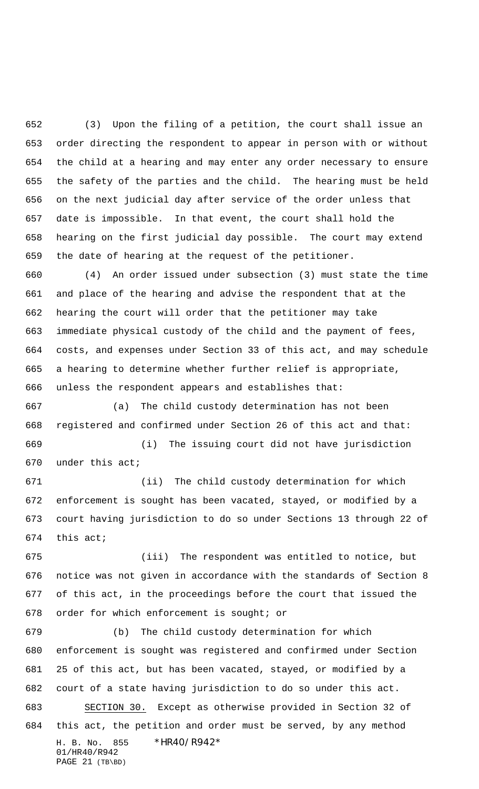(3) Upon the filing of a petition, the court shall issue an order directing the respondent to appear in person with or without the child at a hearing and may enter any order necessary to ensure the safety of the parties and the child. The hearing must be held on the next judicial day after service of the order unless that date is impossible. In that event, the court shall hold the hearing on the first judicial day possible. The court may extend the date of hearing at the request of the petitioner.

 (4) An order issued under subsection (3) must state the time and place of the hearing and advise the respondent that at the hearing the court will order that the petitioner may take immediate physical custody of the child and the payment of fees, costs, and expenses under Section 33 of this act, and may schedule a hearing to determine whether further relief is appropriate, unless the respondent appears and establishes that:

 (a) The child custody determination has not been registered and confirmed under Section 26 of this act and that: (i) The issuing court did not have jurisdiction

under this act;

 (ii) The child custody determination for which enforcement is sought has been vacated, stayed, or modified by a court having jurisdiction to do so under Sections 13 through 22 of this act;

 (iii) The respondent was entitled to notice, but notice was not given in accordance with the standards of Section 8 of this act, in the proceedings before the court that issued the order for which enforcement is sought; or

H. B. No. 855 \*HR40/R942\* 01/HR40/R942 PAGE 21 (TB\BD) (b) The child custody determination for which enforcement is sought was registered and confirmed under Section 25 of this act, but has been vacated, stayed, or modified by a court of a state having jurisdiction to do so under this act. SECTION 30. Except as otherwise provided in Section 32 of this act, the petition and order must be served, by any method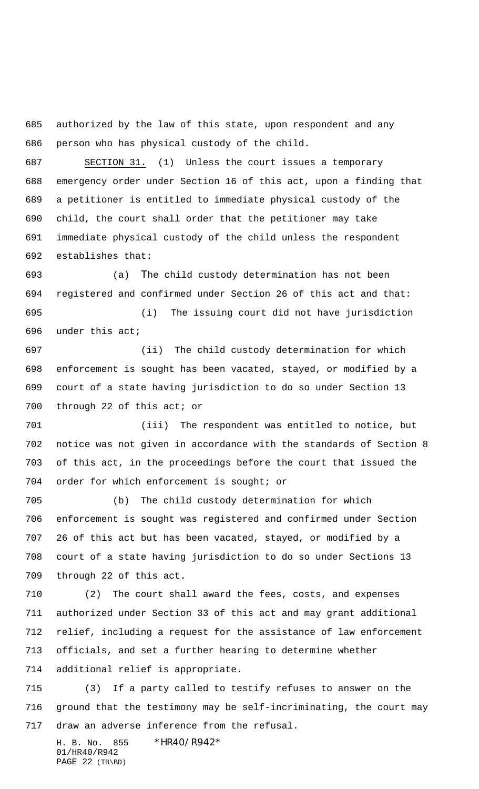authorized by the law of this state, upon respondent and any person who has physical custody of the child.

 SECTION 31. (1) Unless the court issues a temporary emergency order under Section 16 of this act, upon a finding that a petitioner is entitled to immediate physical custody of the child, the court shall order that the petitioner may take immediate physical custody of the child unless the respondent establishes that:

 (a) The child custody determination has not been registered and confirmed under Section 26 of this act and that: (i) The issuing court did not have jurisdiction

under this act;

 (ii) The child custody determination for which enforcement is sought has been vacated, stayed, or modified by a court of a state having jurisdiction to do so under Section 13 700 through 22 of this act; or

 (iii) The respondent was entitled to notice, but notice was not given in accordance with the standards of Section 8 of this act, in the proceedings before the court that issued the order for which enforcement is sought; or

 (b) The child custody determination for which enforcement is sought was registered and confirmed under Section 26 of this act but has been vacated, stayed, or modified by a court of a state having jurisdiction to do so under Sections 13 through 22 of this act.

 (2) The court shall award the fees, costs, and expenses authorized under Section 33 of this act and may grant additional relief, including a request for the assistance of law enforcement officials, and set a further hearing to determine whether additional relief is appropriate.

 (3) If a party called to testify refuses to answer on the ground that the testimony may be self-incriminating, the court may draw an adverse inference from the refusal.

H. B. No. 855 \*HR40/R942\* 01/HR40/R942 PAGE 22 (TB\BD)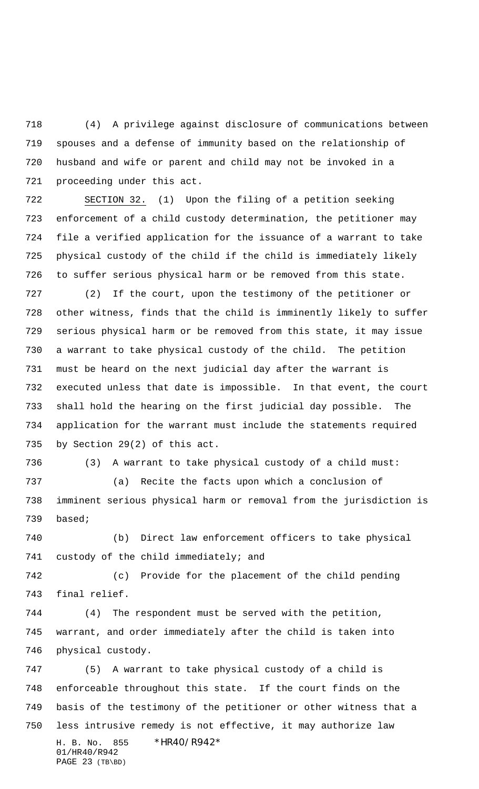(4) A privilege against disclosure of communications between spouses and a defense of immunity based on the relationship of husband and wife or parent and child may not be invoked in a proceeding under this act.

 SECTION 32. (1) Upon the filing of a petition seeking enforcement of a child custody determination, the petitioner may file a verified application for the issuance of a warrant to take physical custody of the child if the child is immediately likely to suffer serious physical harm or be removed from this state.

 (2) If the court, upon the testimony of the petitioner or other witness, finds that the child is imminently likely to suffer serious physical harm or be removed from this state, it may issue a warrant to take physical custody of the child. The petition must be heard on the next judicial day after the warrant is executed unless that date is impossible. In that event, the court shall hold the hearing on the first judicial day possible. The application for the warrant must include the statements required by Section 29(2) of this act.

 (3) A warrant to take physical custody of a child must: (a) Recite the facts upon which a conclusion of imminent serious physical harm or removal from the jurisdiction is

based;

 (b) Direct law enforcement officers to take physical custody of the child immediately; and

 (c) Provide for the placement of the child pending final relief.

 (4) The respondent must be served with the petition, warrant, and order immediately after the child is taken into physical custody.

H. B. No. 855 \*HR40/R942\* 01/HR40/R942 PAGE 23 (TB\BD) (5) A warrant to take physical custody of a child is enforceable throughout this state. If the court finds on the basis of the testimony of the petitioner or other witness that a less intrusive remedy is not effective, it may authorize law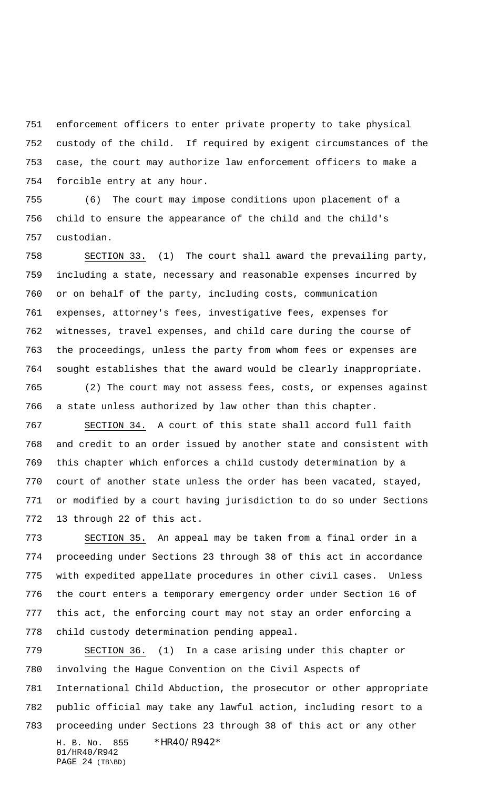enforcement officers to enter private property to take physical custody of the child. If required by exigent circumstances of the case, the court may authorize law enforcement officers to make a forcible entry at any hour.

 (6) The court may impose conditions upon placement of a child to ensure the appearance of the child and the child's custodian.

 SECTION 33. (1) The court shall award the prevailing party, including a state, necessary and reasonable expenses incurred by or on behalf of the party, including costs, communication expenses, attorney's fees, investigative fees, expenses for witnesses, travel expenses, and child care during the course of the proceedings, unless the party from whom fees or expenses are sought establishes that the award would be clearly inappropriate.

 (2) The court may not assess fees, costs, or expenses against a state unless authorized by law other than this chapter.

 SECTION 34. A court of this state shall accord full faith and credit to an order issued by another state and consistent with this chapter which enforces a child custody determination by a court of another state unless the order has been vacated, stayed, or modified by a court having jurisdiction to do so under Sections 13 through 22 of this act.

 SECTION 35. An appeal may be taken from a final order in a proceeding under Sections 23 through 38 of this act in accordance with expedited appellate procedures in other civil cases. Unless the court enters a temporary emergency order under Section 16 of this act, the enforcing court may not stay an order enforcing a child custody determination pending appeal.

H. B. No. 855 \*HR40/R942\* 01/HR40/R942 PAGE 24 (TB\BD) SECTION 36. (1) In a case arising under this chapter or involving the Hague Convention on the Civil Aspects of International Child Abduction, the prosecutor or other appropriate public official may take any lawful action, including resort to a proceeding under Sections 23 through 38 of this act or any other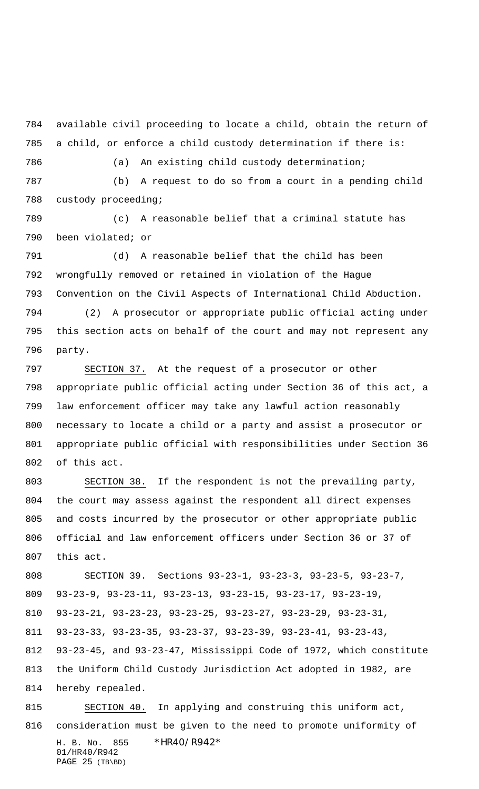available civil proceeding to locate a child, obtain the return of a child, or enforce a child custody determination if there is:

(a) An existing child custody determination;

 (b) A request to do so from a court in a pending child custody proceeding;

 (c) A reasonable belief that a criminal statute has been violated; or

 (d) A reasonable belief that the child has been wrongfully removed or retained in violation of the Hague Convention on the Civil Aspects of International Child Abduction.

 (2) A prosecutor or appropriate public official acting under this section acts on behalf of the court and may not represent any party.

 SECTION 37. At the request of a prosecutor or other appropriate public official acting under Section 36 of this act, a law enforcement officer may take any lawful action reasonably necessary to locate a child or a party and assist a prosecutor or appropriate public official with responsibilities under Section 36 of this act.

 SECTION 38. If the respondent is not the prevailing party, the court may assess against the respondent all direct expenses and costs incurred by the prosecutor or other appropriate public official and law enforcement officers under Section 36 or 37 of this act.

 SECTION 39. Sections 93-23-1, 93-23-3, 93-23-5, 93-23-7, 93-23-9, 93-23-11, 93-23-13, 93-23-15, 93-23-17, 93-23-19, 93-23-21, 93-23-23, 93-23-25, 93-23-27, 93-23-29, 93-23-31, 93-23-33, 93-23-35, 93-23-37, 93-23-39, 93-23-41, 93-23-43, 93-23-45, and 93-23-47, Mississippi Code of 1972, which constitute the Uniform Child Custody Jurisdiction Act adopted in 1982, are

hereby repealed.

H. B. No. 855 \*HR40/R942\* 01/HR40/R942 PAGE 25 (TB\BD) SECTION 40. In applying and construing this uniform act, consideration must be given to the need to promote uniformity of